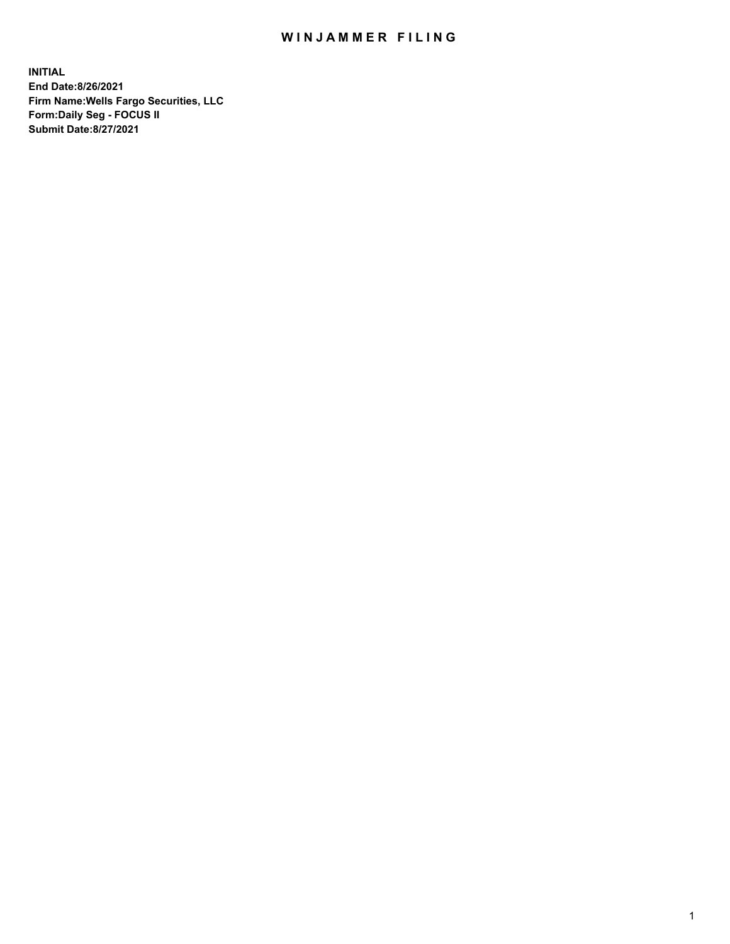## WIN JAMMER FILING

**INITIAL End Date:8/26/2021 Firm Name:Wells Fargo Securities, LLC Form:Daily Seg - FOCUS II Submit Date:8/27/2021**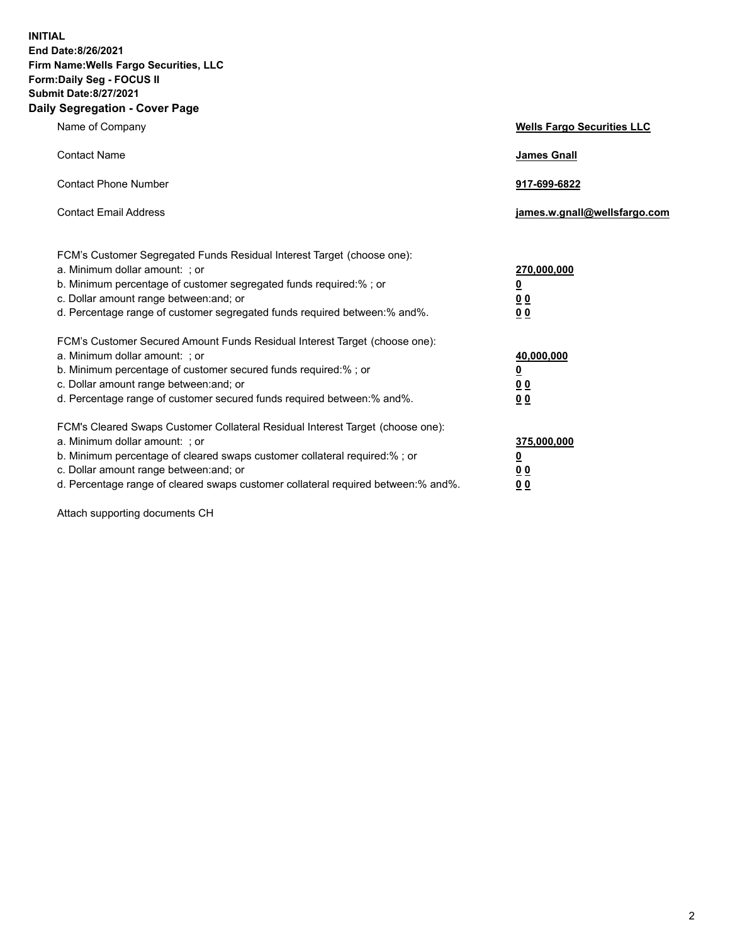**INITIAL End Date:8/26/2021 Firm Name:Wells Fargo Securities, LLC Form:Daily Seg - FOCUS II Submit Date:8/27/2021 Daily Segregation - Cover Page**

| Name of Company                                                                                                                                                                                                                                                                                                               | <b>Wells Fargo Securities LLC</b>                          |
|-------------------------------------------------------------------------------------------------------------------------------------------------------------------------------------------------------------------------------------------------------------------------------------------------------------------------------|------------------------------------------------------------|
| <b>Contact Name</b>                                                                                                                                                                                                                                                                                                           | <b>James Gnall</b>                                         |
| <b>Contact Phone Number</b>                                                                                                                                                                                                                                                                                                   | 917-699-6822                                               |
| <b>Contact Email Address</b>                                                                                                                                                                                                                                                                                                  | james.w.gnall@wellsfargo.com                               |
| FCM's Customer Segregated Funds Residual Interest Target (choose one):<br>a. Minimum dollar amount: ; or<br>b. Minimum percentage of customer segregated funds required:%; or<br>c. Dollar amount range between: and; or<br>d. Percentage range of customer segregated funds required between:% and%.                         | 270,000,000<br><u>0</u><br>0 <sub>0</sub><br>00            |
| FCM's Customer Secured Amount Funds Residual Interest Target (choose one):<br>a. Minimum dollar amount: ; or<br>b. Minimum percentage of customer secured funds required:%; or<br>c. Dollar amount range between: and; or<br>d. Percentage range of customer secured funds required between: % and %.                         | 40,000,000<br><u>0</u><br>0 <sub>0</sub><br>0 <sub>0</sub> |
| FCM's Cleared Swaps Customer Collateral Residual Interest Target (choose one):<br>a. Minimum dollar amount: ; or<br>b. Minimum percentage of cleared swaps customer collateral required:%; or<br>c. Dollar amount range between: and; or<br>d. Percentage range of cleared swaps customer collateral required between:% and%. | 375,000,000<br><u>0</u><br>0 Q<br>0 <sub>0</sub>           |

Attach supporting documents CH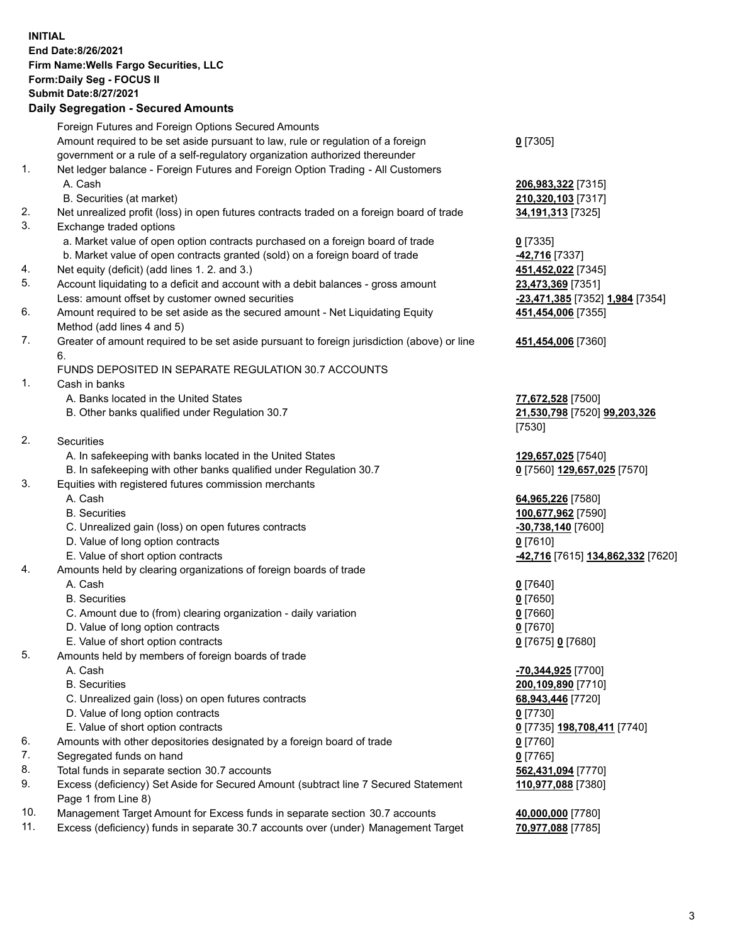**INITIAL End Date:8/26/2021 Firm Name:Wells Fargo Securities, LLC Form:Daily Seg - FOCUS II Submit Date:8/27/2021**

## **Daily Segregation - Secured Amounts**

|                | Foreign Futures and Foreign Options Secured Amounts                                         |                                                       |
|----------------|---------------------------------------------------------------------------------------------|-------------------------------------------------------|
|                | Amount required to be set aside pursuant to law, rule or regulation of a foreign            | $0$ [7305]                                            |
|                | government or a rule of a self-regulatory organization authorized thereunder                |                                                       |
| 1.             | Net ledger balance - Foreign Futures and Foreign Option Trading - All Customers             |                                                       |
|                | A. Cash                                                                                     | 206,983,322 [7315]                                    |
|                | B. Securities (at market)                                                                   | 210,320,103 [7317]                                    |
| 2.             |                                                                                             |                                                       |
| 3.             | Net unrealized profit (loss) in open futures contracts traded on a foreign board of trade   | 34,191,313 [7325]                                     |
|                | Exchange traded options                                                                     |                                                       |
|                | a. Market value of open option contracts purchased on a foreign board of trade              | $0$ [7335]                                            |
|                | b. Market value of open contracts granted (sold) on a foreign board of trade                | 42,716 [7337]                                         |
| 4.             | Net equity (deficit) (add lines 1. 2. and 3.)                                               | 451,452,022 [7345]                                    |
| 5.             | Account liquidating to a deficit and account with a debit balances - gross amount           | 23,473,369 [7351]                                     |
|                | Less: amount offset by customer owned securities                                            | -23,471,385 [7352] 1,984 [7354]                       |
| 6.             | Amount required to be set aside as the secured amount - Net Liquidating Equity              | 451,454,006 [7355]                                    |
|                | Method (add lines 4 and 5)                                                                  |                                                       |
| 7.             | Greater of amount required to be set aside pursuant to foreign jurisdiction (above) or line | 451,454,006 [7360]                                    |
|                | 6.                                                                                          |                                                       |
|                | FUNDS DEPOSITED IN SEPARATE REGULATION 30.7 ACCOUNTS                                        |                                                       |
| 1.             | Cash in banks                                                                               |                                                       |
|                | A. Banks located in the United States                                                       | 77,672,528 [7500]                                     |
|                | B. Other banks qualified under Regulation 30.7                                              | 21,530,798 [7520] 99,203,326                          |
|                |                                                                                             | [7530]                                                |
| 2.             | <b>Securities</b>                                                                           |                                                       |
|                | A. In safekeeping with banks located in the United States                                   | 129,657,025 [7540]                                    |
|                | B. In safekeeping with other banks qualified under Regulation 30.7                          | 0 [7560] 129,657,025 [7570]                           |
| 3.             | Equities with registered futures commission merchants                                       |                                                       |
|                | A. Cash                                                                                     | 64,965,226 [7580]                                     |
|                | <b>B.</b> Securities                                                                        | 100,677,962 [7590]                                    |
|                | C. Unrealized gain (loss) on open futures contracts                                         |                                                       |
|                |                                                                                             | -30,738,140 [7600]                                    |
|                | D. Value of long option contracts<br>E. Value of short option contracts                     | $0$ [7610]                                            |
|                |                                                                                             | <mark>-42,716</mark> [7615] <b>134,862,332</b> [7620] |
| 4.             | Amounts held by clearing organizations of foreign boards of trade                           |                                                       |
|                | A. Cash                                                                                     | $0$ [7640]                                            |
|                | <b>B.</b> Securities                                                                        | $0$ [7650]                                            |
|                | C. Amount due to (from) clearing organization - daily variation                             | $0$ [7660]                                            |
|                | D. Value of long option contracts                                                           | $0$ [7670]                                            |
|                | E. Value of short option contracts                                                          | 0 [7675] 0 [7680]                                     |
| 5.             | Amounts held by members of foreign boards of trade                                          |                                                       |
|                | A. Cash                                                                                     | -70,344,925 [7700]                                    |
|                | <b>B.</b> Securities                                                                        | 200,109,890 [7710]                                    |
|                | C. Unrealized gain (loss) on open futures contracts                                         | 68,943,446 [7720]                                     |
|                | D. Value of long option contracts                                                           | $0$ [7730]                                            |
|                | E. Value of short option contracts                                                          | 0 [7735] 198,708,411 [7740]                           |
| 6.             | Amounts with other depositories designated by a foreign board of trade                      | $0$ [7760]                                            |
| 7.             | Segregated funds on hand                                                                    | $0$ [7765]                                            |
| 8.             | Total funds in separate section 30.7 accounts                                               | 562,431,094 [7770]                                    |
| 9.             | Excess (deficiency) Set Aside for Secured Amount (subtract line 7 Secured Statement         | 110,977,088 [7380]                                    |
|                | Page 1 from Line 8)                                                                         |                                                       |
| $\overline{A}$ |                                                                                             |                                                       |

- 10. Management Target Amount for Excess funds in separate section 30.7 accounts **40,000,000** [7780]
- 11. Excess (deficiency) funds in separate 30.7 accounts over (under) Management Target **70,977,088** [7785]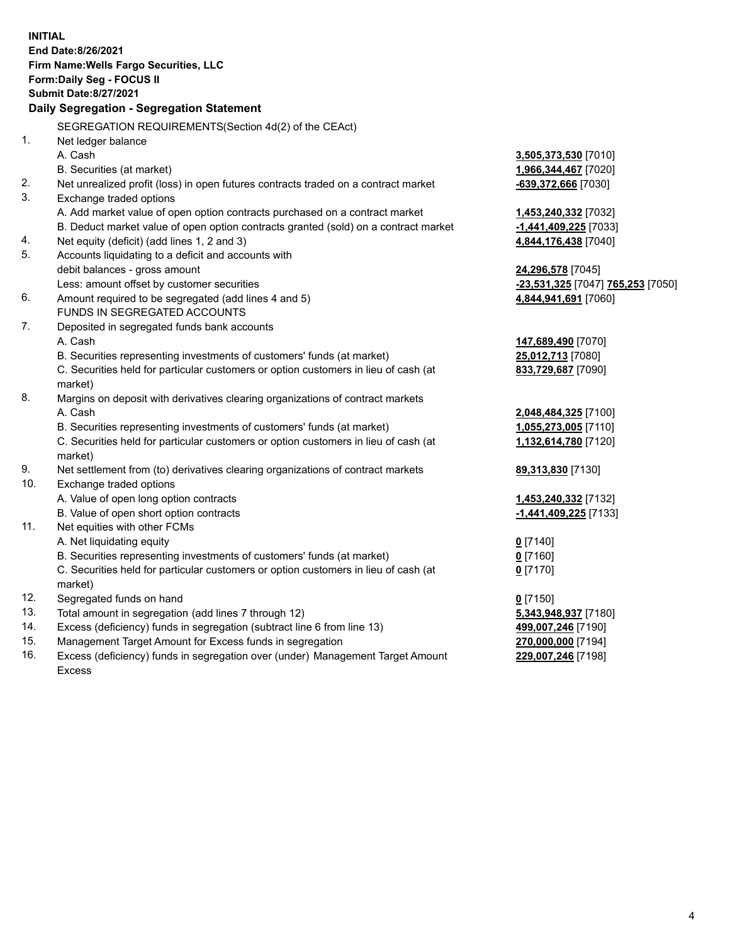**INITIAL End Date:8/26/2021 Firm Name:Wells Fargo Securities, LLC Form:Daily Seg - FOCUS II Submit Date:8/27/2021 Daily Segregation - Segregation Statement** SEGREGATION REQUIREMENTS(Section 4d(2) of the CEAct) 1. Net ledger balance A. Cash **3,505,373,530** [7010] B. Securities (at market) **1,966,344,467** [7020] 2. Net unrealized profit (loss) in open futures contracts traded on a contract market **-639,372,666** [7030] 3. Exchange traded options A. Add market value of open option contracts purchased on a contract market **1,453,240,332** [7032] B. Deduct market value of open option contracts granted (sold) on a contract market **-1,441,409,225** [7033] 4. Net equity (deficit) (add lines 1, 2 and 3) **4,844,176,438** [7040] 5. Accounts liquidating to a deficit and accounts with debit balances - gross amount **24,296,578** [7045] Less: amount offset by customer securities **-23,531,325** [7047] **765,253** [7050] 6. Amount required to be segregated (add lines 4 and 5) **4,844,941,691** [7060] FUNDS IN SEGREGATED ACCOUNTS 7. Deposited in segregated funds bank accounts A. Cash **147,689,490** [7070] B. Securities representing investments of customers' funds (at market) **25,012,713** [7080] C. Securities held for particular customers or option customers in lieu of cash (at market) **833,729,687** [7090] 8. Margins on deposit with derivatives clearing organizations of contract markets A. Cash **2,048,484,325** [7100] B. Securities representing investments of customers' funds (at market) **1,055,273,005** [7110] C. Securities held for particular customers or option customers in lieu of cash (at market) **1,132,614,780** [7120] 9. Net settlement from (to) derivatives clearing organizations of contract markets **89,313,830** [7130] 10. Exchange traded options A. Value of open long option contracts **1,453,240,332** [7132] B. Value of open short option contracts **-1,441,409,225** [7133] 11. Net equities with other FCMs A. Net liquidating equity **0** [7140] B. Securities representing investments of customers' funds (at market) **0** [7160] C. Securities held for particular customers or option customers in lieu of cash (at market) **0** [7170] 12. Segregated funds on hand **0** [7150] 13. Total amount in segregation (add lines 7 through 12) **5,343,948,937** [7180] 14. Excess (deficiency) funds in segregation (subtract line 6 from line 13) **499,007,246** [7190] 15. Management Target Amount for Excess funds in segregation **270,000,000** [7194] 16. Excess (deficiency) funds in segregation over (under) Management Target Amount **229,007,246** [7198]

Excess